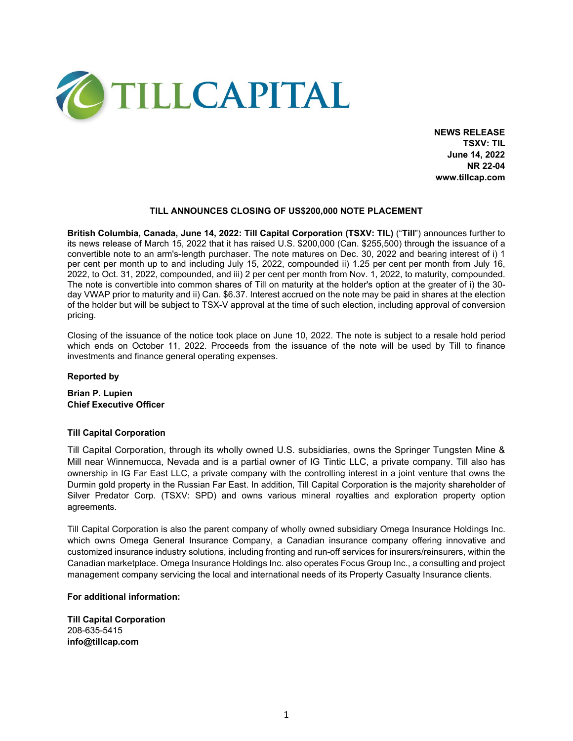

**NEWS RELEASE TSXV: TIL June 14, 2022 NR 22-04 www.tillcap.com**

### **TILL ANNOUNCES CLOSING OF US\$200,000 NOTE PLACEMENT**

**British Columbia, Canada, June 14, 2022: Till Capital Corporation (TSXV: TIL)** ("**Till**") announces further to its news release of March 15, 2022 that it has raised U.S. \$200,000 (Can. \$255,500) through the issuance of a convertible note to an arm's-length purchaser. The note matures on Dec. 30, 2022 and bearing interest of i) 1 per cent per month up to and including July 15, 2022, compounded ii) 1.25 per cent per month from July 16, 2022, to Oct. 31, 2022, compounded, and iii) 2 per cent per month from Nov. 1, 2022, to maturity, compounded. The note is convertible into common shares of Till on maturity at the holder's option at the greater of i) the 30 day VWAP prior to maturity and ii) Can. \$6.37. Interest accrued on the note may be paid in shares at the election of the holder but will be subject to TSX-V approval at the time of such election, including approval of conversion pricing.

Closing of the issuance of the notice took place on June 10, 2022. The note is subject to a resale hold period which ends on October 11, 2022. Proceeds from the issuance of the note will be used by Till to finance investments and finance general operating expenses.

# **Reported by**

**Brian P. Lupien Chief Executive Officer**

#### **Till Capital Corporation**

Till Capital Corporation, through its wholly owned U.S. subsidiaries, owns the Springer Tungsten Mine & Mill near Winnemucca, Nevada and is a partial owner of IG Tintic LLC, a private company. Till also has ownership in IG Far East LLC, a private company with the controlling interest in a joint venture that owns the Durmin gold property in the Russian Far East. In addition, Till Capital Corporation is the majority shareholder of Silver Predator Corp. (TSXV: SPD) and owns various mineral royalties and exploration property option agreements.

Till Capital Corporation is also the parent company of wholly owned subsidiary Omega Insurance Holdings Inc. which owns Omega General Insurance Company, a Canadian insurance company offering innovative and customized insurance industry solutions, including fronting and run-off services for insurers/reinsurers, within the Canadian marketplace. Omega Insurance Holdings Inc. also operates Focus Group Inc., a consulting and project management company servicing the local and international needs of its Property Casualty Insurance clients.

# **For additional information:**

**Till Capital Corporation**  208-635-5415 **info@tillcap.com**